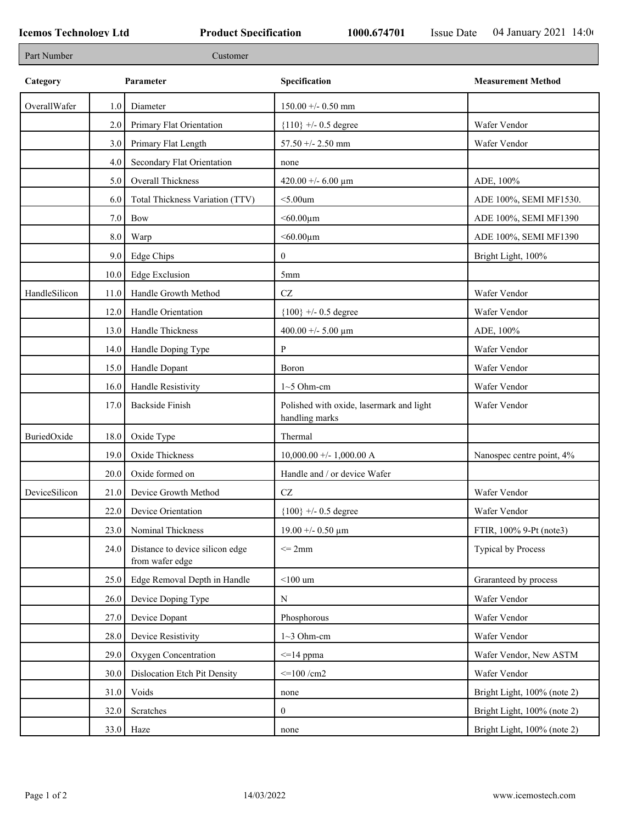| Part Number   |                  | Customer                                           |                                                            |                             |
|---------------|------------------|----------------------------------------------------|------------------------------------------------------------|-----------------------------|
| Category      | Parameter        |                                                    | Specification                                              | <b>Measurement Method</b>   |
| OverallWafer  | 1.0 <sub>l</sub> | Diameter                                           | $150.00 + - 0.50$ mm                                       |                             |
|               | 2.0              | Primary Flat Orientation                           | ${110}$ +/- 0.5 degree                                     | Wafer Vendor                |
|               | 3.0              | Primary Flat Length                                | $57.50 + - 2.50$ mm                                        | Wafer Vendor                |
|               | 4.0              | Secondary Flat Orientation                         | none                                                       |                             |
|               | 5.0              | Overall Thickness                                  | 420.00 +/- 6.00 $\mu$ m                                    | ADE, 100%                   |
|               | 6.0              | Total Thickness Variation (TTV)                    | $<$ 5.00 $um$                                              | ADE 100%, SEMI MF1530.      |
|               | 7.0              | Bow                                                | $< 60.00 \mu m$                                            | ADE 100%, SEMI MF1390       |
|               | 8.0              | Warp                                               | $<$ 60.00 $\mu$ m                                          | ADE 100%, SEMI MF1390       |
|               | 9.0              | <b>Edge Chips</b>                                  | $\bf{0}$                                                   | Bright Light, 100%          |
|               | 10.0             | <b>Edge Exclusion</b>                              | 5mm                                                        |                             |
| HandleSilicon | 11.0             | Handle Growth Method                               | $\operatorname{CZ}$                                        | Wafer Vendor                |
|               | 12.0             | Handle Orientation                                 | ${100}$ +/- 0.5 degree                                     | Wafer Vendor                |
|               | 13.0             | Handle Thickness                                   | 400.00 +/- 5.00 $\mu$ m                                    | ADE, 100%                   |
|               | 14.0             | Handle Doping Type                                 | P                                                          | Wafer Vendor                |
|               | 15.0             | Handle Dopant                                      | Boron                                                      | Wafer Vendor                |
|               | 16.0             | Handle Resistivity                                 | $1~5$ Ohm-cm                                               | Wafer Vendor                |
|               | 17.0             | <b>Backside Finish</b>                             | Polished with oxide, lasermark and light<br>handling marks | Wafer Vendor                |
| BuriedOxide   | 18.0             | Oxide Type                                         | Thermal                                                    |                             |
|               | 19.0             | Oxide Thickness                                    | $10,000.00 +/- 1,000.00$ A                                 | Nanospec centre point, 4%   |
|               | 20.0             | Oxide formed on                                    | Handle and / or device Wafer                               |                             |
| DeviceSilicon | 21.0             | Device Growth Method                               | <b>CZ</b>                                                  | Wafer Vendor                |
|               |                  | 22.0 Device Orientation                            | $\{100\}$ +/- 0.5 degree                                   | Wafer Vendor                |
|               | 23.0             | Nominal Thickness                                  | $19.00 + - 0.50 \mu m$                                     | FTIR, 100% 9-Pt (note3)     |
|               | 24.0             | Distance to device silicon edge<br>from wafer edge | $\leq$ 2mm                                                 | <b>Typical by Process</b>   |
|               | 25.0             | Edge Removal Depth in Handle                       | $<$ 100 um                                                 | Graranteed by process       |
|               | 26.0             | Device Doping Type                                 | N                                                          | Wafer Vendor                |
|               | 27.0             | Device Dopant                                      | Phosphorous                                                | Wafer Vendor                |
|               | 28.0             | Device Resistivity                                 | $1~3$ Ohm-cm                                               | Wafer Vendor                |
|               | 29.0             | Oxygen Concentration                               | $\leq$ =14 ppma                                            | Wafer Vendor, New ASTM      |
|               | 30.0             | Dislocation Etch Pit Density                       | $\leq$ 100 /cm2                                            | Wafer Vendor                |
|               | 31.0             | Voids                                              | none                                                       | Bright Light, 100% (note 2) |
|               | 32.0             | Scratches                                          | $\overline{0}$                                             | Bright Light, 100% (note 2) |
|               |                  | $33.0$ Haze                                        | none                                                       | Bright Light, 100% (note 2) |
|               |                  |                                                    |                                                            |                             |